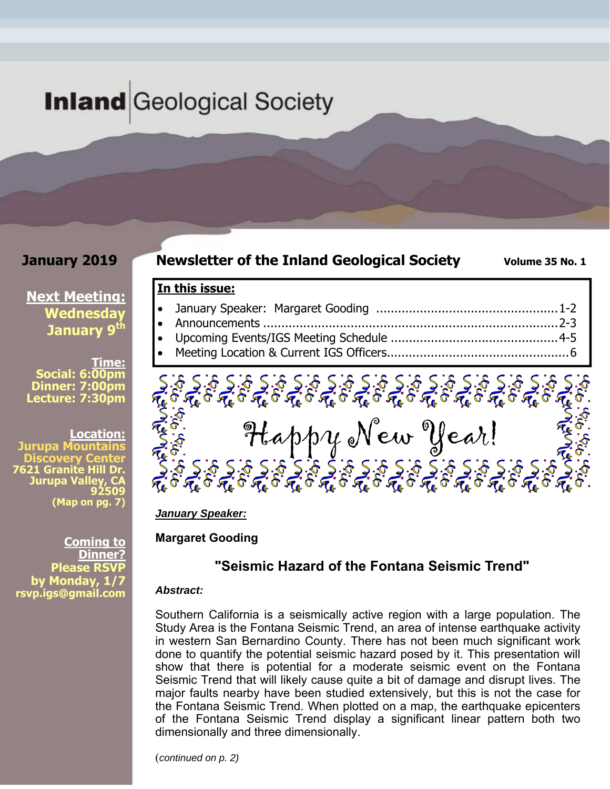# **Inland** Geological Society

## **January 2019**

## **Newsletter of the Inland Geological Society** Volume 35 No. 1

## **In this issue:**

- January Speaker: Margaret Gooding .................................................. 1-2 Announcements ................................................................................. 2-3
- Upcoming Events/IGS Meeting Schedule .............................................. 4-5
- Meeting Location & Current IGS Officers .................................................. 6



*January Speaker:* 

**Margaret Gooding** 

## **"Seismic Hazard of the Fontana Seismic Trend"**

#### *Abstract:*

Southern California is a seismically active region with a large population. The Study Area is the Fontana Seismic Trend, an area of intense earthquake activity in western San Bernardino County. There has not been much significant work done to quantify the potential seismic hazard posed by it. This presentation will show that there is potential for a moderate seismic event on the Fontana Seismic Trend that will likely cause quite a bit of damage and disrupt lives. The major faults nearby have been studied extensively, but this is not the case for the Fontana Seismic Trend. When plotted on a map, the earthquake epicenters of the Fontana Seismic Trend display a significant linear pattern both two dimensionally and three dimensionally.

(*continued on p. 2)*

**Next Meeting: Wednesday January 9th** 

**Time: Social: 6:00pm Dinner: 7:00pm Lecture: 7:30pm** 

**Location:** 

u**pa Mount**a **Discovery Center 7621 Granite Hill Dr.**  Jurupa Vall **92509 (Map on pg. 7)**

**Coming to Dinner? Please RSV by Monday, 1/7 rsvp.igs@gmail.com**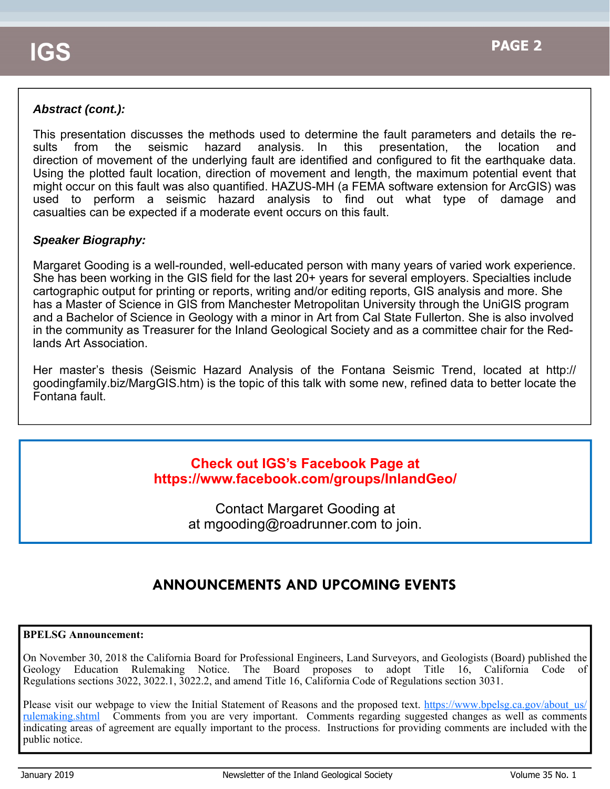## *Abstract (cont.):*

This presentation discusses the methods used to determine the fault parameters and details the results from the seismic hazard analysis. In this presentation, the location and direction of movement of the underlying fault are identified and configured to fit the earthquake data. Using the plotted fault location, direction of movement and length, the maximum potential event that might occur on this fault was also quantified. HAZUS-MH (a FEMA software extension for ArcGIS) was used to perform a seismic hazard analysis to find out what type of damage and casualties can be expected if a moderate event occurs on this fault.

## *Speaker Biography:*

Margaret Gooding is a well-rounded, well-educated person with many years of varied work experience. She has been working in the GIS field for the last 20+ years for several employers. Specialties include cartographic output for printing or reports, writing and/or editing reports, GIS analysis and more. She has a Master of Science in GIS from Manchester Metropolitan University through the UniGIS program and a Bachelor of Science in Geology with a minor in Art from Cal State Fullerton. She is also involved in the community as Treasurer for the Inland Geological Society and as a committee chair for the Redlands Art Association.

Her master's thesis (Seismic Hazard Analysis of the Fontana Seismic Trend, located at http:// goodingfamily.biz/MargGIS.htm) is the topic of this talk with some new, refined data to better locate the Fontana fault.

## **Check out IGS's Facebook Page at https://www.facebook.com/groups/InlandGeo/**

Contact Margaret Gooding at at mgooding@roadrunner.com to join.

## **ANNOUNCEMENTS AND UPCOMING EVENTS**

#### **BPELSG Announcement:**

On November 30, 2018 the California Board for Professional Engineers, Land Surveyors, and Geologists (Board) published the Geology Education Rulemaking Notice. The Board proposes to adopt Title 16, California Code of Regulations sections 3022, 3022.1, 3022.2, and amend Title 16, California Code of Regulations section 3031.

Please visit our webpage to view the Initial Statement of Reasons and the proposed text. https://www.bpelsg.ca.gov/about us/ rulemaking.shtml Comments from you are very important. Comments regarding suggested changes as well as comments indicating areas of agreement are equally important to the process. Instructions for providing comments are included with the public notice.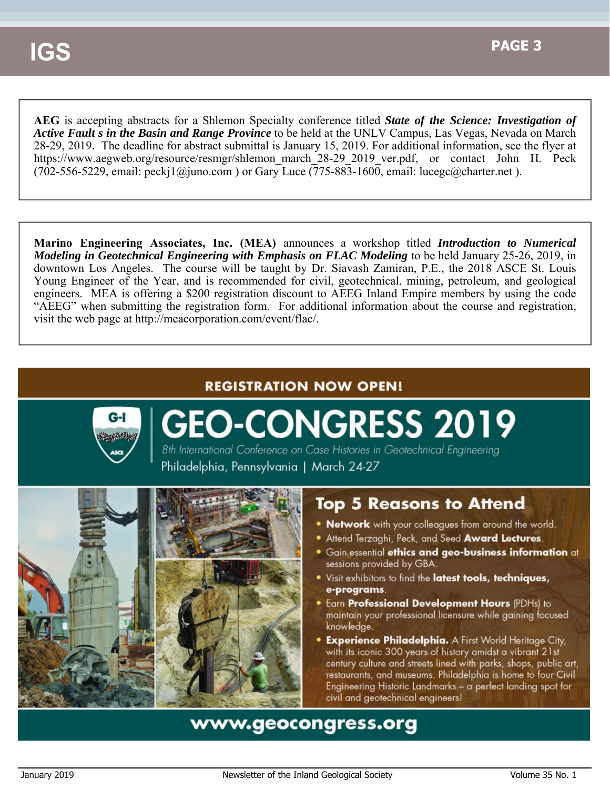**AEG** is accepting abstracts for a Shlemon Specialty conference titled *State of the Science: Investigation of Active Fault s in the Basin and Range Province* to be held at the UNLV Campus, Las Vegas, Nevada on March 28-29, 2019. The deadline for abstract submittal is January 15, 2019. For additional information, see the flyer at https://www.aegweb.org/resource/resmgr/shlemon\_march\_28-29\_2019\_ver.pdf, or contact John H. Peck (702-556-5229, email: peckj1@juno.com) or Gary Luce (775-883-1600, email: lucegc@charter.net).

**Marino Engineering Associates, Inc. (MEA)** announces a workshop titled *Introduction to Numerical Modeling in Geotechnical Engineering with Emphasis on FLAC Modeling to be held January 25-26, 2019, in* downtown Los Angeles. The course will be taught by Dr. Siavash Zamiran, P.E., the 2018 ASCE St. Louis Young Engineer of the Year, and is recommended for civil, geotechnical, mining, petroleum, and geological engineers. MEA is offering a \$200 registration discount to AEEG Inland Empire members by using the code "AEEG" when submitting the registration form. For additional information about the course and registration, visit the web page at http://meacorporation.com/event/flac/.

## **REGISTRATION NOW OPEN!**



**GEO-CONGRESS 2019** 8th International Conference on Case Histories in Geotechnical Engineering

Philadelphia, Pennsylvania | March 24-27





## Top 5 Reasons to Attend

- . Network with your colleagues from around the world.
- **Attend Terzaghi, Peck, and Seed Award Lectures.**
- Gain essential ethics and geo-business information at sessions provided by GBA.
- Visit exhibitors to find the latest tools, techniques, e-programs.
- . Earn Professional Development Hours (PDHs) to maintain your professional licensure while gaining focused knowledge.
- **Experience Philadelphia.** A First World Heritage City, with its iconic 300 years of history amidst a vibrant 21st century culture and streets lined with parks, shops, public art, restaurants, and museums. Philadelphia is home to four Civil Engineering Historic Landmarks – a perfect landing spot for civil and geotechnical engineers!

## www.geocongress.org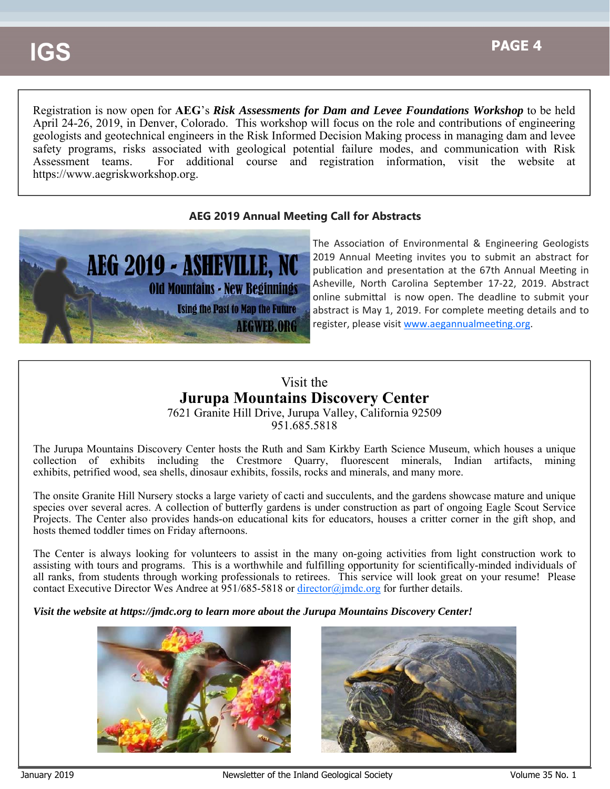Registration is now open for **AEG**'s *Risk Assessments for Dam and Levee Foundations Workshop* to be held April 24-26, 2019, in Denver, Colorado. This workshop will focus on the role and contributions of engineering geologists and geotechnical engineers in the Risk Informed Decision Making process in managing dam and levee safety programs, risks associated with geological potential failure modes, and communication with Risk Assessment teams. For additional course and registration information, visit the website at https://www.aegriskworkshop.org.

### **AEG 2019 Annual Meeting Call for Abstracts**



The Association of Environmental & Engineering Geologists 2019 Annual Meeting invites you to submit an abstract for publication and presentation at the 67th Annual Meeting in Asheville, North Carolina September 17‐22, 2019. Abstract online submittal is now open. The deadline to submit your abstract is May 1, 2019. For complete meeting details and to register, please visit www.aegannualmeeting.org.

## Visit the **Jurupa Mountains Discovery Center**

7621 Granite Hill Drive, Jurupa Valley, California 92509 951.685.5818

The Jurupa Mountains Discovery Center hosts the Ruth and Sam Kirkby Earth Science Museum, which houses a unique collection of exhibits including the Crestmore Quarry, fluorescent minerals, Indian artifacts, mining exhibits, petrified wood, sea shells, dinosaur exhibits, fossils, rocks and minerals, and many more.

The onsite Granite Hill Nursery stocks a large variety of cacti and succulents, and the gardens showcase mature and unique species over several acres. A collection of butterfly gardens is under construction as part of ongoing Eagle Scout Service Projects. The Center also provides hands-on educational kits for educators, houses a critter corner in the gift shop, and hosts themed toddler times on Friday afternoons.

The Center is always looking for volunteers to assist in the many on-going activities from light construction work to assisting with tours and programs. This is a worthwhile and fulfilling opportunity for scientifically-minded individuals of all ranks, from students through working professionals to retirees. This service will look great on your resume! Please contact Executive Director Wes Andree at 951/685-5818 or director@jmdc.org for further details.

*Visit the website at https://jmdc.org to learn more about the Jurupa Mountains Discovery Center!*



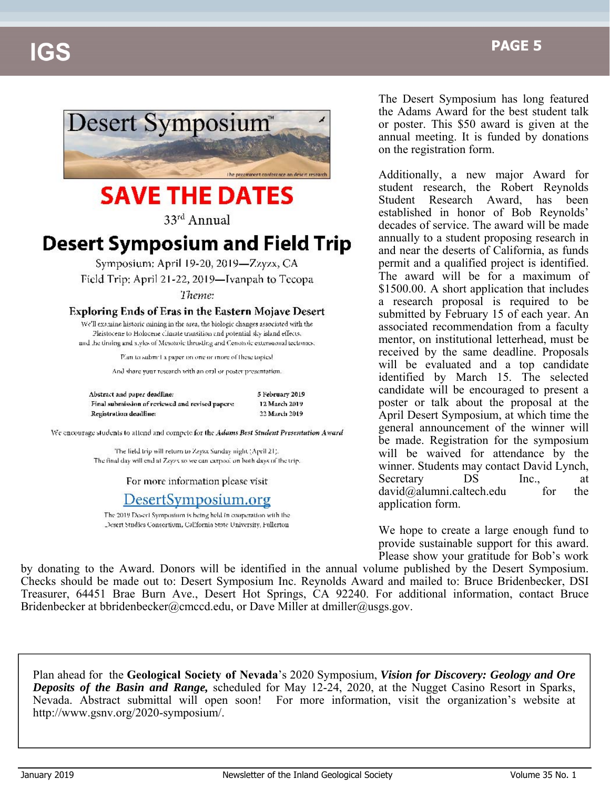

# **SAVE THE DATES**

33rd Annual

## **Desert Symposium and Field Trip**

Symposium; April 19-20, 2019-Zzyzx, CA Field Trip: April 21-22, 2019-Ivanpah to Tecopa Theme:

#### Exploring Ends of Eras in the Eastern Mojave Desert

We'll examine historic mining in the area, the biologic changes associated with the Pleistocene to Holocene climate transition and potential sky island effects. and the timing and styles of Mesozoic thrusting and Cenozoic extensional tectomes:

Plan to submit a paper on one or inore of these topics!

And share your research with an oral or poster presentation.

| Abstract and paper deadline:                     | 5 February 201 |
|--------------------------------------------------|----------------|
| Final submission of reviewed and revised papers: | 12 March 2015  |
| Registration deadline:                           | 22 March 2019  |

We encourage students to attend and compete for the Adams Best Student Presentation Award

The lield trip will return to Zzyzz Sunday night (April 21). The final day will end at Zzyz's so we can extpool on both days of the trip.

For more information please visit

## DesertSymposium.org

The 2019 Desert Symposium is being held in cooperation with the Desert Studies Consertium, California State University, Fullerton The Desert Symposium has long featured the Adams Award for the best student talk or poster. This \$50 award is given at the annual meeting. It is funded by donations on the registration form.

Additionally, a new major Award for student research, the Robert Reynolds Student Research Award, has been established in honor of Bob Reynolds' decades of service. The award will be made annually to a student proposing research in and near the deserts of California, as funds permit and a qualified project is identified. The award will be for a maximum of \$1500.00. A short application that includes a research proposal is required to be submitted by February 15 of each year. An associated recommendation from a faculty mentor, on institutional letterhead, must be received by the same deadline. Proposals will be evaluated and a top candidate identified by March 15. The selected candidate will be encouraged to present a poster or talk about the proposal at the April Desert Symposium, at which time the general announcement of the winner will be made. Registration for the symposium will be waived for attendance by the winner. Students may contact David Lynch, Secretary DS Inc., at  $david@alumni.caltech.edu$  for the application form.

We hope to create a large enough fund to provide sustainable support for this award. Please show your gratitude for Bob's work

by donating to the Award. Donors will be identified in the annual volume published by the Desert Symposium. Checks should be made out to: Desert Symposium Inc. Reynolds Award and mailed to: Bruce Bridenbecker, DSI Treasurer, 64451 Brae Burn Ave., Desert Hot Springs, CA 92240. For additional information, contact Bruce Bridenbecker at bbridenbecker@cmccd.edu, or Dave Miller at dmiller@usgs.gov.

Plan ahead for the **Geological Society of Nevada**'s 2020 Symposium, *Vision for Discovery: Geology and Ore Deposits of the Basin and Range,* scheduled for May 12-24, 2020, at the Nugget Casino Resort in Sparks, Nevada. Abstract submittal will open soon! For more information, visit the organization's website at http://www.gsnv.org/2020-symposium/.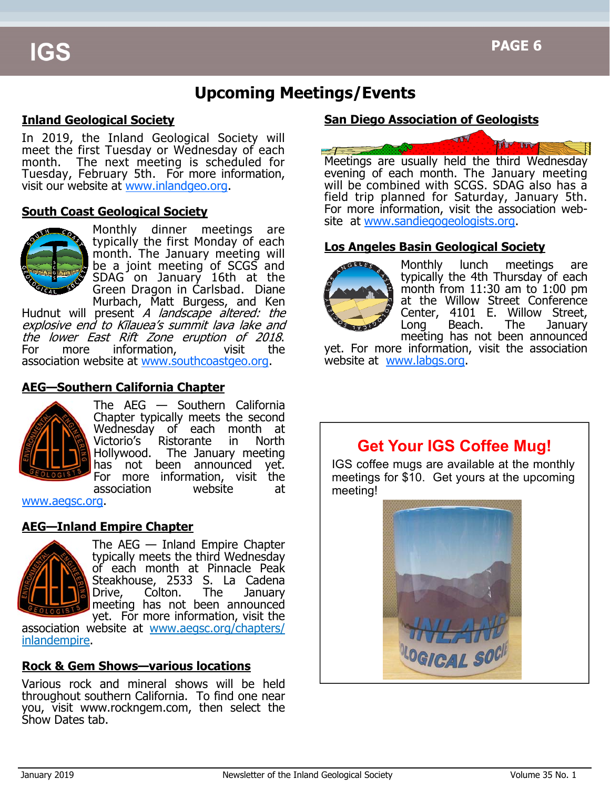## **Upcoming Meetings/Events**

## **Inland Geological Society**

In 2019, the Inland Geological Society will meet the first Tuesday or Wednesday of each month. The next meeting is scheduled for Tuesday, February 5th. For more information, visit our website at www.inlandgeo.org.

#### **South Coast Geological Society**



Monthly dinner meetings are typically the first Monday of each month. The January meeting will be a joint meeting of SCGS and SDAG on January 16th at the Green Dragon in Carlsbad. Diane Murbach, Matt Burgess, and Ken

Hudnut will present A landscape altered: the explosive end to Kīlauea's summit lava lake and the lower East Rift Zone eruption of 2018. For more information, visit the association website at www.southcoastgeo.org.

## **AEG—Southern California Chapter**



The AEG — Southern California Chapter typically meets the second Wednesday of each month at Victorio's Ristorante in North Hollywood. The January meeting has not been announced yet. For more information, visit the association website at

www.aegsc.org.

### **AEG—Inland Empire Chapter**



The AEG — Inland Empire Chapter typically meets the third Wednesday of each month at Pinnacle Peak Steakhouse, 2533 S. La Cadena Drive, Colton. The January meeting has not been announced yet. For more information, visit the

association website at www.aegsc.org/chapters/ inlandempire.

### **Rock & Gem Shows—various locations**

Various rock and mineral shows will be held throughout southern California. To find one near you, visit www.rockngem.com, then select the Show Dates tab.

## **San Diego Association of Geologists**



Meetings are usually held the third Wednesday evening of each month. The January meeting will be combined with SCGS. SDAG also has a field trip planned for Saturday, January 5th. For more information, visit the association website at www.sandiegogeologists.org.

### **Los Angeles Basin Geological Society**



Monthly lunch meetings are typically the 4th Thursday of each month from  $11:30$  am to  $1:00$  pm at the Willow Street Conference Center, 4101 E. Willow Street, Long Beach. The January meeting has not been announced

yet. For more information, visit the association website at www.labgs.org.

## **Get Your IGS Coffee Mug!**

IGS coffee mugs are available at the monthly meetings for \$10. Get yours at the upcoming meeting!